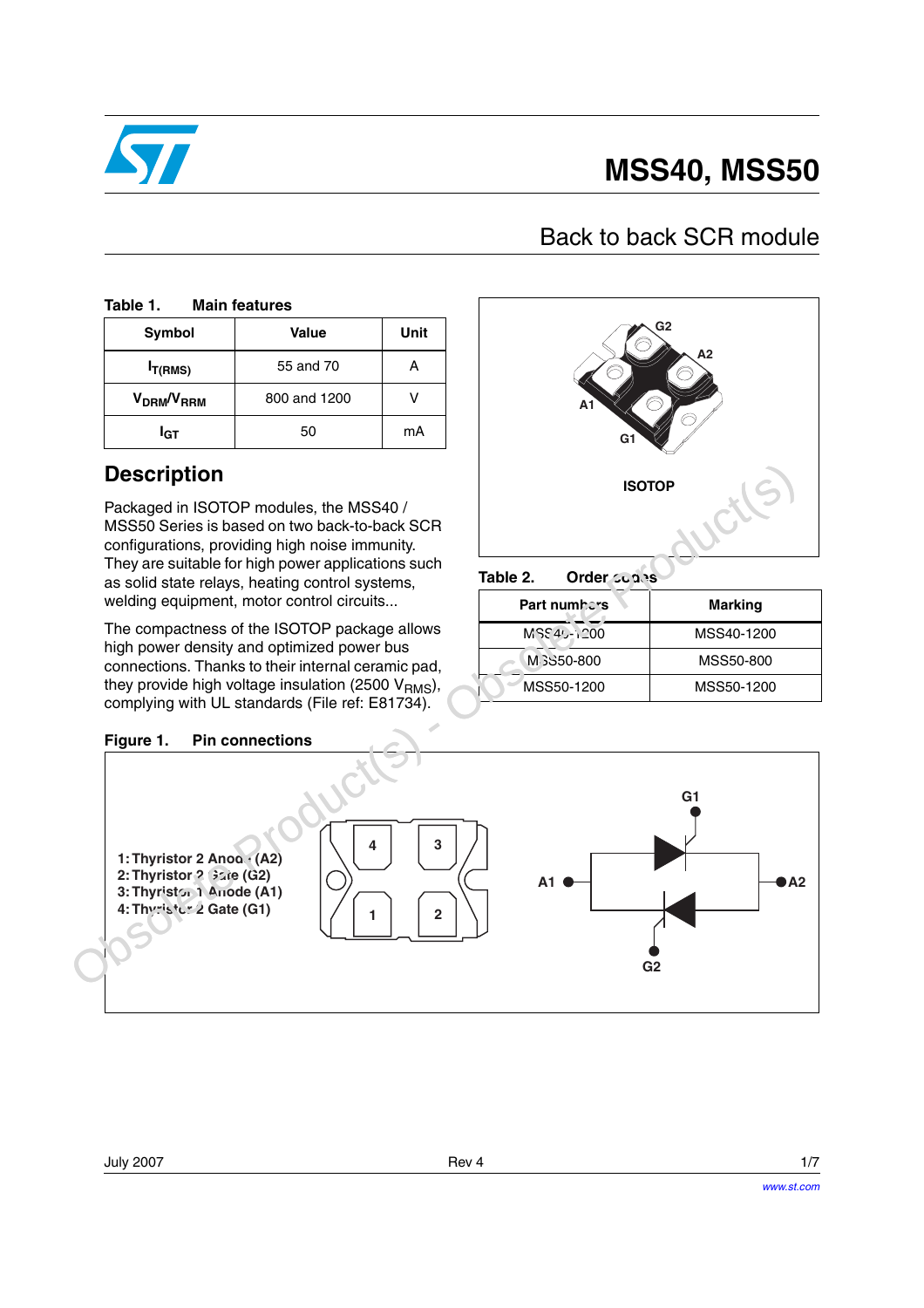

# **MSS40, MSS50**

### Back to back SCR module

#### Table 1. **Main features**

| <b>Symbol</b>                      | Value        | Unit |
|------------------------------------|--------------|------|
| $I_{T(RMS)}$                       | 55 and 70    |      |
| V <sub>DRM</sub> /V <sub>RRM</sub> | 800 and 1200 |      |
| <sup>I</sup> GT                    | 50           | mA   |

### **Description**

Packaged in ISOTOP modules, the MSS40 / MSS50 Series is based on two back-to-back SCR configurations, providing high noise immunity. They are suitable for high power applications such as solid state relays, heating control systems, welding equipment, motor control circuits...

The compactness of the ISOTOP package allows high power density and optimized power bus connections. Thanks to their internal ceramic pad, they provide high voltage insulation (2500  $V<sub>RMS</sub>$ ), complying with UL standards (File ref: E81734).



Table 2. **Order contrs** 

| Part numbers | <b>Marking</b> |
|--------------|----------------|
| MSS40-1200   | MSS40-1200     |
| M 3S50-800   | MSS50-800      |
| MSS50-1200   | MSS50-1200     |

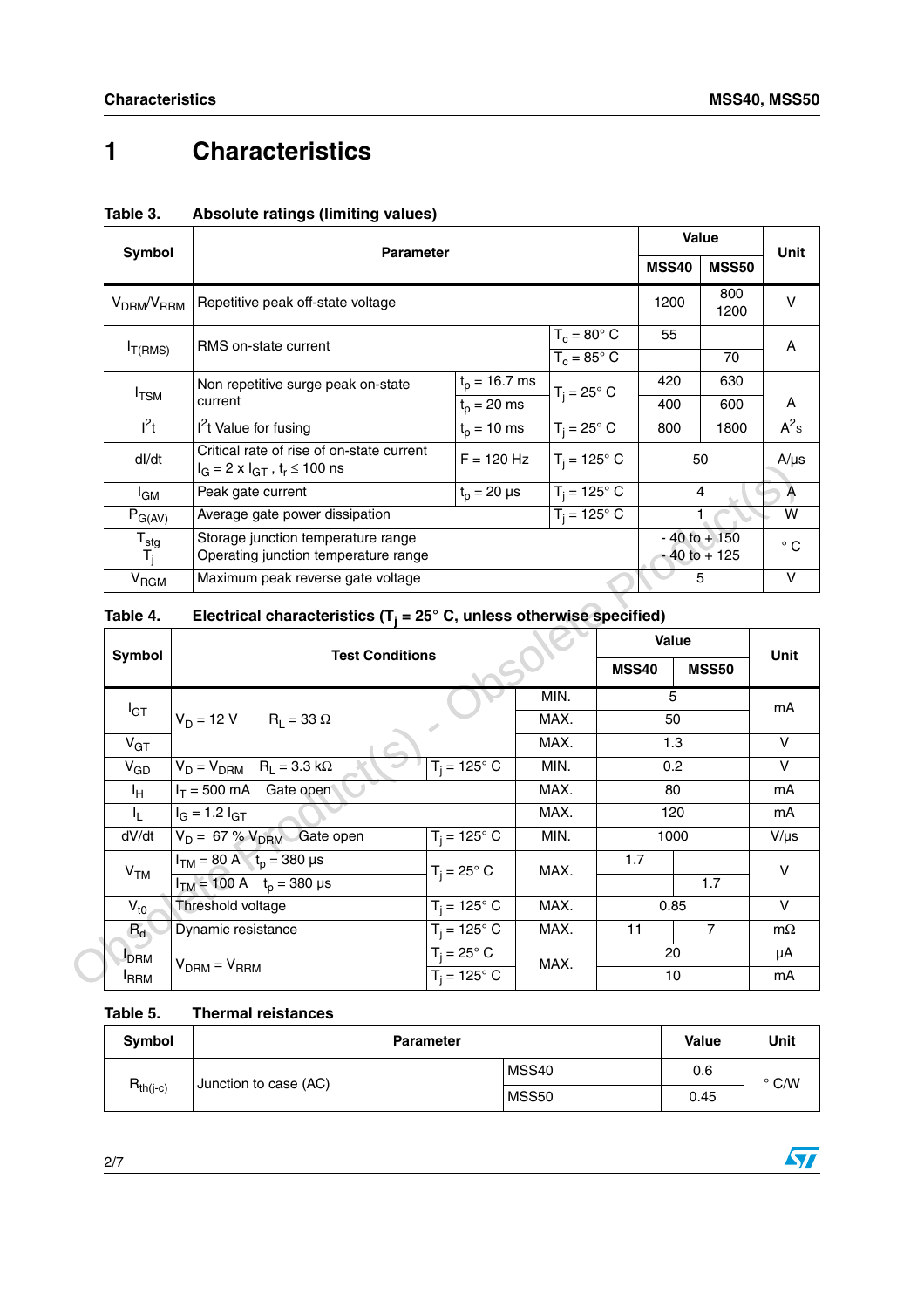## **1 Characteristics**

|                                                             | <b>Parameter</b>                                                                                                               |                    |                    |                                    | <b>Value</b> |                |
|-------------------------------------------------------------|--------------------------------------------------------------------------------------------------------------------------------|--------------------|--------------------|------------------------------------|--------------|----------------|
| Symbol                                                      |                                                                                                                                |                    |                    |                                    | <b>MSS50</b> | Unit           |
| V <sub>DRM</sub> /V <sub>RRM</sub>                          | Repetitive peak off-state voltage                                                                                              |                    |                    | 1200                               | 800<br>1200  | v              |
|                                                             |                                                                                                                                |                    | $T_c = 80^\circ$ C | 55                                 |              | A              |
| $I_{T(RMS)}$                                                | RMS on-state current                                                                                                           | $T_c = 85^\circ$ C |                    |                                    | 70           |                |
|                                                             | Non repetitive surge peak on-state                                                                                             | $t_p = 16.7$ ms    | $T_i = 25^\circ$ C | 420                                | 630          |                |
| $I_{TSM}$                                                   | current                                                                                                                        | $t_p = 20$ ms      |                    | 400                                | 600          | A              |
| $I^2t$                                                      | $l2t$ Value for fusing                                                                                                         | $t_p = 10$ ms      | $T_i = 25^\circ$ C | 800                                | 1800         | $A^2$ s        |
| dl/dt                                                       | Critical rate of rise of on-state current<br>$T_i = 125^\circ$ C<br>$F = 120$ Hz<br>$I_G = 2 \times I_{GT}$ , $t_r \le 100$ ns |                    |                    |                                    | 50           | $A/\mu s$      |
| <sup>I</sup> GM                                             | $T_i = 125^\circ C$<br>Peak gate current<br>$t_p = 20 \mu s$                                                                   |                    |                    |                                    | 4            | $\overline{A}$ |
| $P_{G(AV)}$                                                 | $T_i = 125^\circ$ C<br>Average gate power dissipation                                                                          |                    |                    |                                    |              | W              |
| $\frac{\mathsf{T}_{\mathsf{stg}}}{\mathsf{T}_{\mathsf{j}}}$ | Storage junction temperature range<br>Operating junction temperature range                                                     |                    |                    | $-40$ to $+150$<br>$-40$ to $+125$ |              | $^{\circ}$ C   |
| <b>V<sub>RGM</sub></b>                                      | Maximum peak reverse gate voltage                                                                                              |                    |                    |                                    | 5            | $\vee$         |

### **Table 3. Absolute ratings (limiting values)**

| Table 4. | Electrical characteristics ( $T_i = 25^\circ$ C, unless otherwise specified) |  |  |
|----------|------------------------------------------------------------------------------|--|--|
|----------|------------------------------------------------------------------------------|--|--|

| unu                        | $I_G = 2 \times I_{GT}$ , $t_r \le 100$ ns<br>. – 140 I 14<br>  1   - 120 U  |                            |              |                | ν μυ                               |                         |
|----------------------------|------------------------------------------------------------------------------|----------------------------|--------------|----------------|------------------------------------|-------------------------|
| l <sub>GM</sub>            | $T_i = 125^{\circ} C$<br>$t_{p}$ = 20 µs<br>Peak gate current                |                            |              | $\overline{4}$ | $\overline{A}$                     |                         |
| $P_{G(AV)}$                | $T_i = 125^\circ C$<br>Average gate power dissipation                        |                            |              |                |                                    | W                       |
| ${\sf T}_{\sf stg}$<br>Τį. | Storage junction temperature range<br>Operating junction temperature range   |                            |              |                | $-40$ to $+150$<br>$-40$ to $+125$ | $\circ$ C               |
| V <sub>RGM</sub>           | Maximum peak reverse gate voltage                                            |                            |              |                | 5                                  | V                       |
| Table 4.                   | Electrical characteristics ( $T_i = 25^\circ$ C, unless otherwise specified) |                            |              |                |                                    |                         |
|                            |                                                                              |                            |              |                | <b>Value</b>                       | Unit                    |
| Symbol                     |                                                                              | <b>Test Conditions</b>     |              |                | <b>MSS40</b><br><b>MSS50</b>       |                         |
| $I_{GT}$                   |                                                                              |                            | MIN.<br>MAX. |                | 5                                  | mA                      |
|                            | $V_D = 12 V$ $R_L = 33 \Omega$                                               |                            |              |                | 50                                 |                         |
| $V_{GT}$                   |                                                                              |                            | MAX.         | 1.3            |                                    | V                       |
| $V_{GD}$                   | $T_i = 125^\circ$ C<br>$V_D = V_{DRM}$ R <sub>L</sub> = 3.3 k $\Omega$       |                            | MIN.         | 0.2            |                                    | $\overline{\mathsf{v}}$ |
| ΙH.                        | MAX.<br>$I_T = 500$ mA Gate open<br>80                                       |                            |              | mA             |                                    |                         |
| $I_{L}$                    | $I_G = 1.2 I_{GT}$                                                           |                            | MAX.         | 120            |                                    | mA                      |
| dV/dt                      | $T_i = 125^\circ$ C<br>$V_D = 67 \% V_{DRM}$ Gate open                       |                            | MIN.         | 1000           |                                    | $V/\mu s$               |
|                            | $I_{TM}$ = 80 A $t_0$ = 380 µs                                               | $T_i = 25^\circ$ C         | MAX.         | 1.7            |                                    | V                       |
| V <sub>TM</sub>            | $I_{TM}$ = 100 A $t_p$ = 380 µs                                              |                            |              |                | 1.7                                |                         |
| $V_{t0}$                   | $T_i = 125^\circ$ C<br>Threshold voltage                                     |                            | MAX.         | 0.85           |                                    | $\vee$                  |
| $R_d$                      | Dynamic resistance                                                           | $T_i = 125^\circ$ C        | MAX.         | 11             | $\overline{7}$                     | $m\Omega$               |
| <b>DRM</b>                 | $V_{DRM} = V_{RRM}$                                                          | $T_i = 25^\circ \text{ C}$ | MAX.         |                | 20                                 |                         |
| <sup>I</sup> RRM           |                                                                              | $T_i = 125^\circ$ C        |              | 10             |                                    | mA                      |

### **Table 5. Thermal reistances**

| Symbol                                 | <b>Parameter</b> |       |      | Unit          |
|----------------------------------------|------------------|-------|------|---------------|
| $R_{th(j-c)}$<br>Junction to case (AC) |                  | MSS40 | 0.6  | $\degree$ C/W |
|                                        |                  | MSS50 | 0.45 |               |

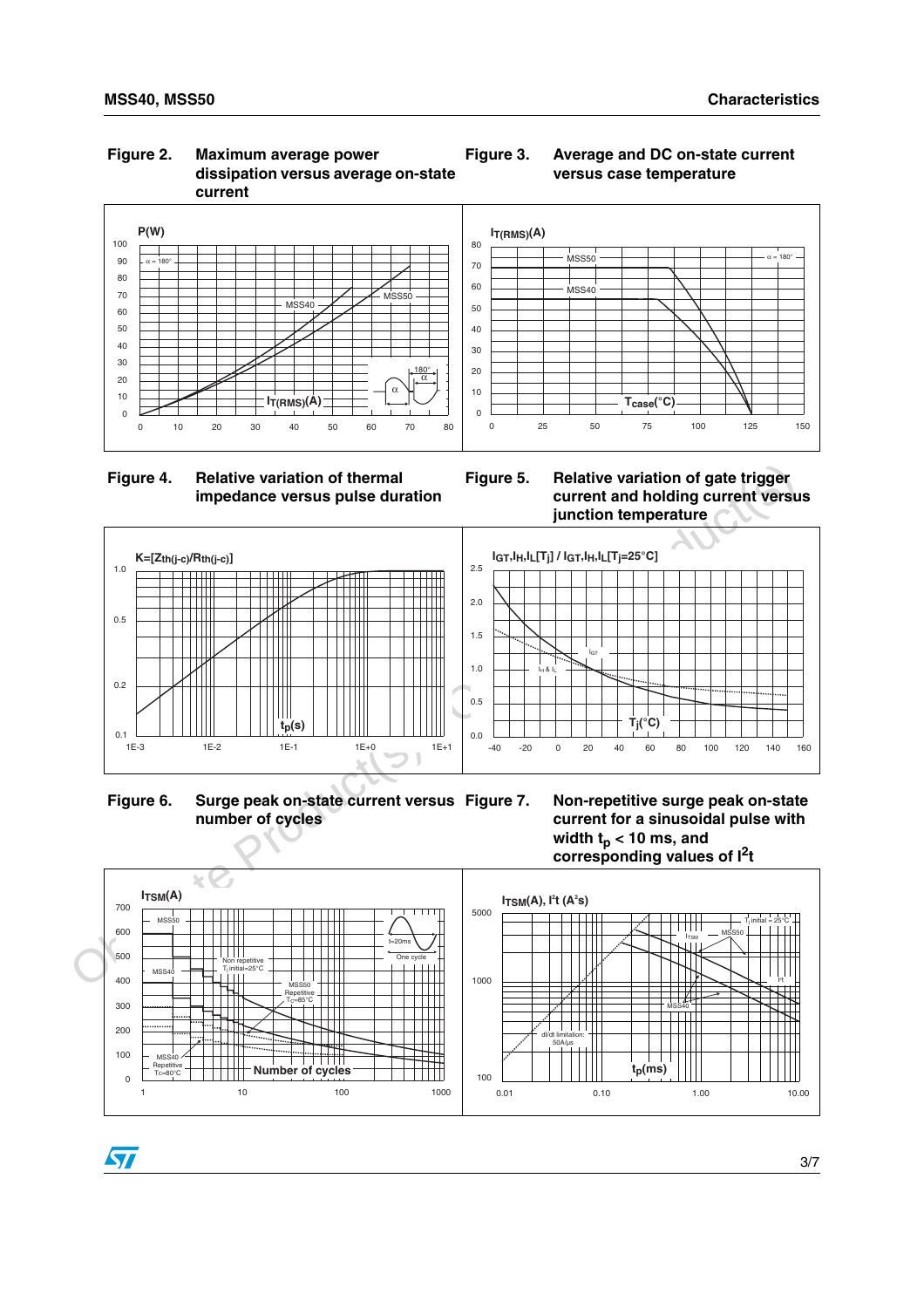57

### **Figure 2. Maximum average power dissipation versus average on-state current**







**Figure 3. Average and DC on-state current versus case temperature**



**Figure 6. Surge peak on-state current versus number of cycles**





3/7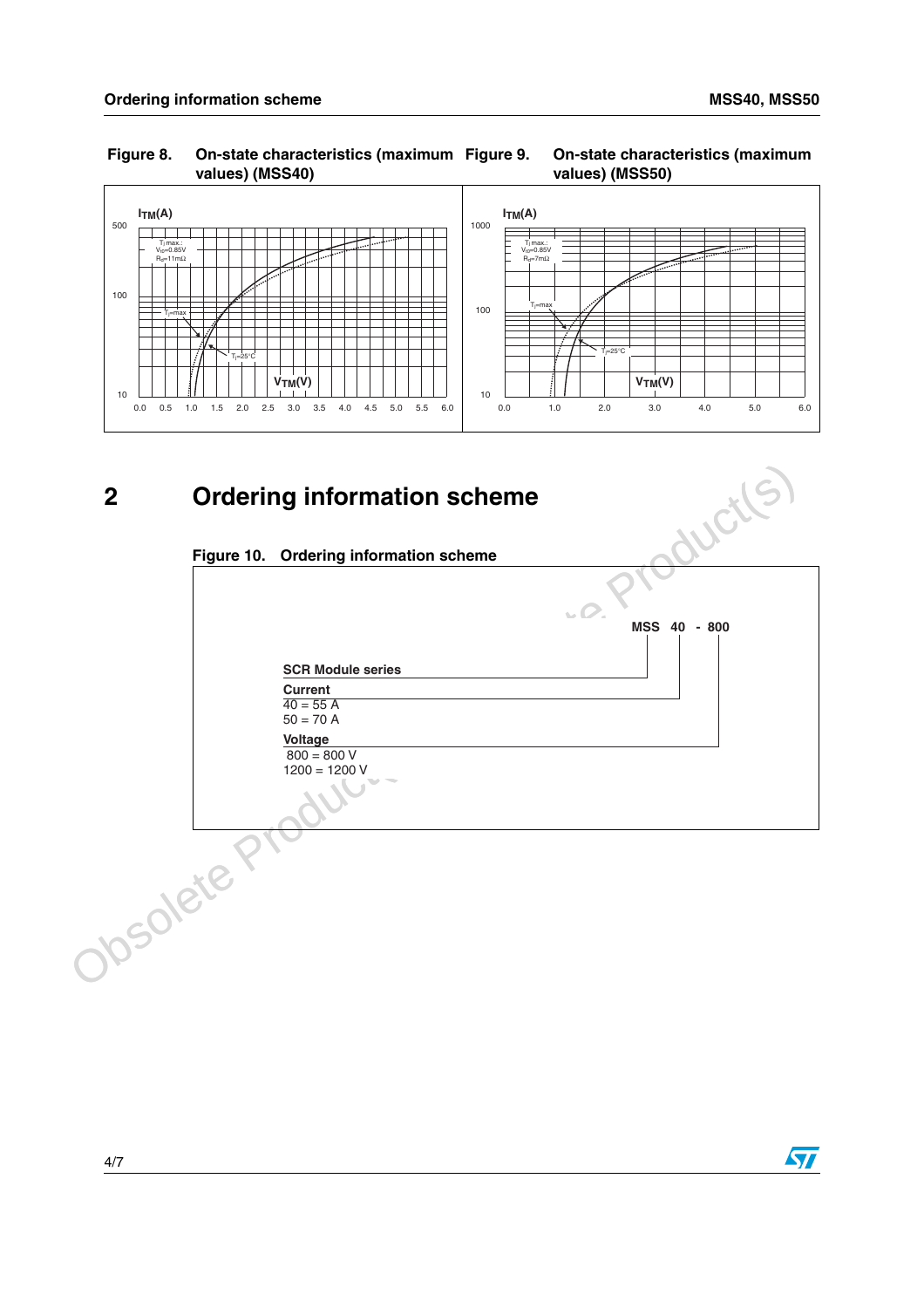### **Figure 8. On-state characteristics (maximum values) (MSS40)**





**2 Ordering information scheme**

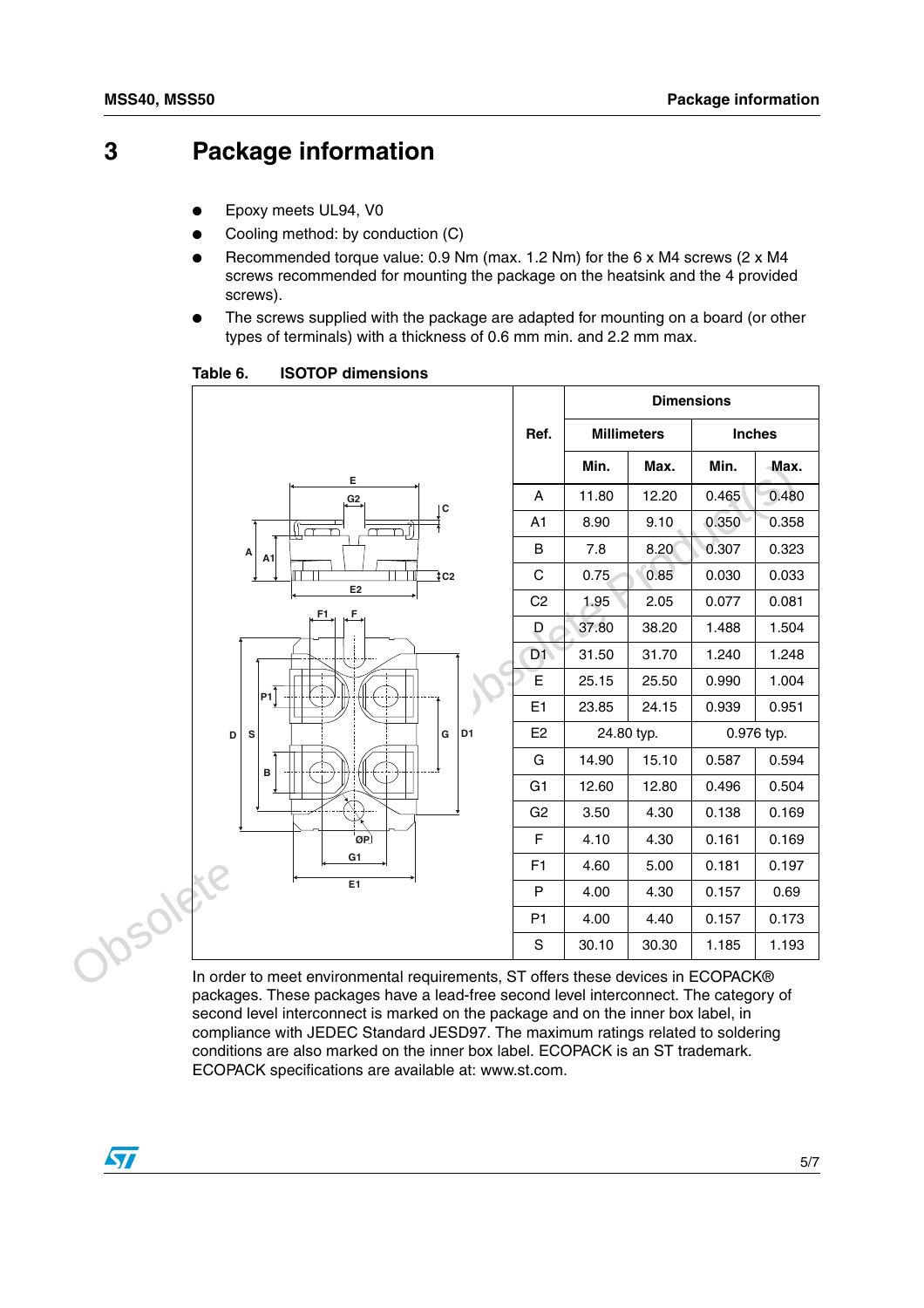### **3 Package information**

- Epoxy meets UL94, V0
- Cooling method: by conduction (C)
- Recommended torque value:  $0.9$  Nm (max. 1.2 Nm) for the 6 x M4 screws (2 x M4 screws recommended for mounting the package on the heatsink and the 4 provided screws).
- The screws supplied with the package are adapted for mounting on a board (or other types of terminals) with a thickness of 0.6 mm min. and 2.2 mm max.

Min. Max. Min. Max.<br>  $A \rightarrow A$ <br>  $A \rightarrow B = 0$ <br>  $B \rightarrow 7.8$  8.20 0.307 0.323<br>  $C2$  1.95 0.85 0.030 0.333<br>  $D = 7.8$  8.20 0.307 0.323<br>  $D = 7.8$  8.20 0.307 0.323<br>  $D = 7.8$  8.20 0.307 0.323<br>  $D = 7.8$  8.20 0.307 0.323<br>  $D = 7.8$  8.20 0.3 4.60 5.00 0.181 0<br>
P 4.00 4.30 0.157 0<br>
P1 4.00 4.40 0.157 0<br>
S 30.10 30.30 1.185 1<br>
In order to meet environmental requirements, ST offers these devices in ECOPACK® **Ref. Dimensions Millimeters Inches Min.** | Max. | Min. | Max. A | 11.80 | 12.20 | 0.465 0.480 A1 8.90 9.10 0.350 0.358 B 7.8 8.20 0.307 0.323  $C$  0.75 0.85 0.030 0.033  $C2$  1.95 2.05 0.077 0.081  $D$  37.80 38.20 1.488 1.504 D1 31.50  $31.70$  1.240 1.248  $E$  25.15 25.50 0.990 1.004 E1  $\begin{array}{|c|c|c|c|c|c|c|c|c|} \hline 21 & 23.85 & 24.15 & 0.939 & 0.951 \hline \end{array}$ E2 24.80 typ. 0.976 typ. G | 14.90 | 15.10 | 0.587 | 0.594 G1 12.60 12.80 0.496 0.504 G<sub>2</sub> 3.50 4.30 0.138 0.169  $F$  4.10 4.30 0.161 0.169  $F1$  4.60 5.00 0.181 0.197 P 4.00 4.30 0.157 0.69 P1 4.00 4.40 0.157 0.173 S  $\vert$  30.10  $\vert$  30.30  $\vert$  1.185  $\vert$  1.193 **F1 F D S G D1 B E1 G1 ØP P1 E E2 G2 C C2**  $\mathsf{A}$   $\mathsf{A}$ 1

Table 6. **ISOTOP dimensions** 

packages. These packages have a lead-free second level interconnect. The category of second level interconnect is marked on the package and on the inner box label, in compliance with JEDEC Standard JESD97. The maximum ratings related to soldering conditions are also marked on the inner box label. ECOPACK is an ST trademark. ECOPACK specifications are available at: www.st.com.

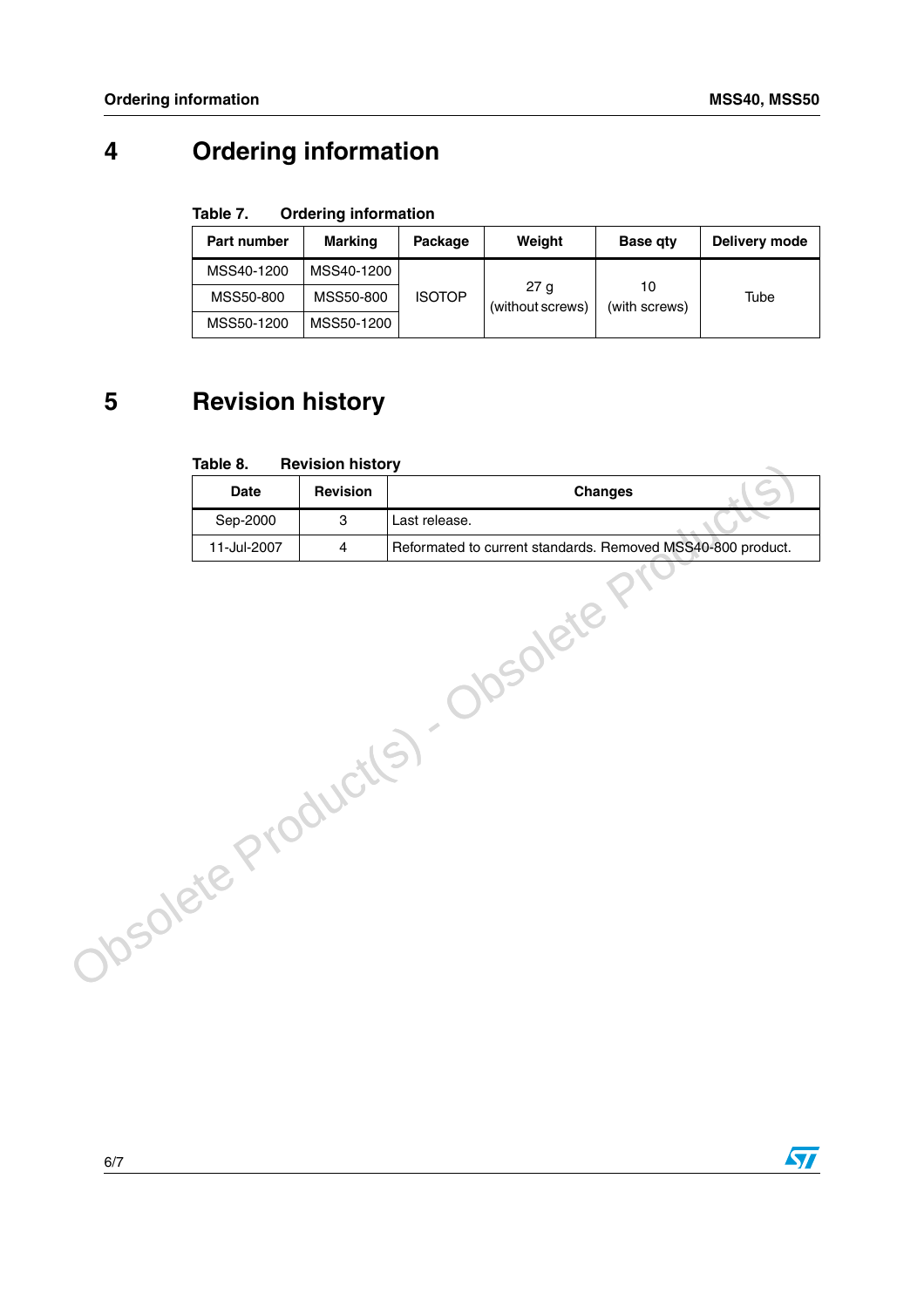## **4 Ordering information**

#### Table 7. **Ordering information**

| Part number | Marking    | Package       | Weight                   | <b>Base gty</b>     | Delivery mode |
|-------------|------------|---------------|--------------------------|---------------------|---------------|
| MSS40-1200  | MSS40-1200 |               |                          |                     |               |
| MSS50-800   | MSS50-800  | <b>ISOTOP</b> | 27 a<br>(without screws) | 10<br>(with screws) | Tube          |
| MSS50-1200  | MSS50-1200 |               |                          |                     |               |

## **5 Revision history**

#### Table 8. **Revision history**

|                 | rable 8.    | <b>Revision history</b> |                                                             |
|-----------------|-------------|-------------------------|-------------------------------------------------------------|
|                 | <b>Date</b> | Revision                | <b>Changes</b>                                              |
|                 | Sep-2000    | 3                       | Last release.                                               |
|                 | 11-Jul-2007 | 4                       | Reformated to current standards. Removed MSS40-800 product. |
| DSONETE Product |             |                         | bsolete                                                     |